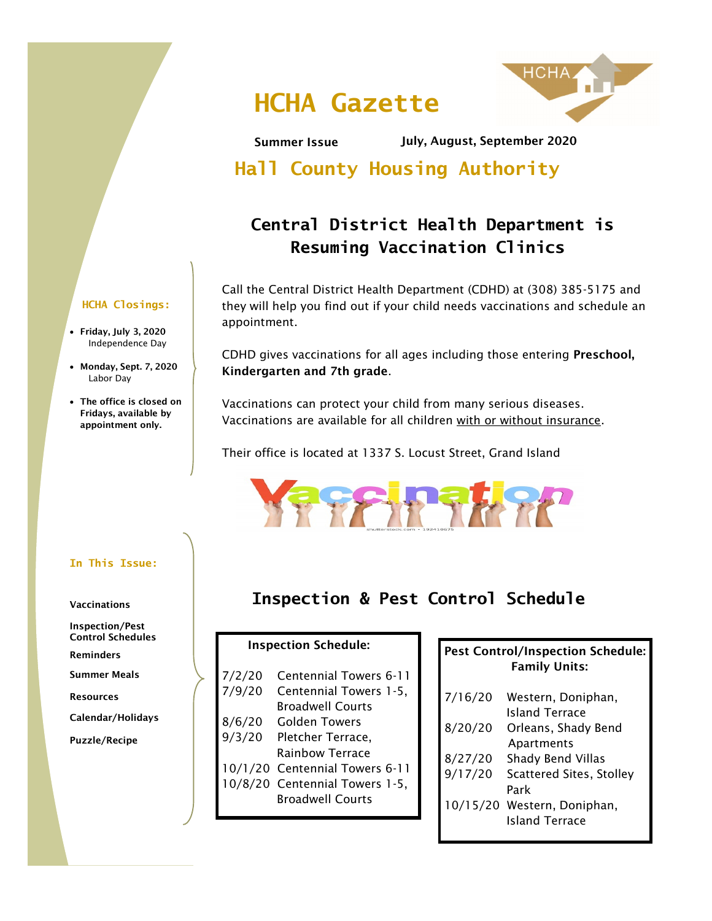# **HCHA Gazette**



Summer Issue July, August, September 2020

**Hall County Housing Authority**

## **Central District Health Department is Resuming Vaccination Clinics**

Call the Central District Health Department (CDHD) at (308) 385-5175 and they will help you find out if your child needs vaccinations and schedule an appointment.

CDHD gives vaccinations for all ages including those entering Preschool, Kindergarten and 7th grade.

Vaccinations can protect your child from many serious diseases. Vaccinations are available for all children with or without insurance.

Their office is located at 1337 S. Locust Street, Grand Island



### **Inspection & Pest Control Schedule**

### Inspection Schedule:

| 7/2/20<br>7/9/20 | Centennial Towers 6-11<br>Centennial Towers 1-5,<br><b>Broadwell Courts</b> |
|------------------|-----------------------------------------------------------------------------|
| 8/6/20           | <b>Golden Towers</b>                                                        |
| 9/3/20           | Pletcher Terrace,<br><b>Rainbow Terrace</b>                                 |
|                  | 10/1/20 Centennial Towers 6-11                                              |
|                  | 10/8/20 Centennial Towers 1-5,                                              |
|                  | <b>Broadwell Courts</b>                                                     |

### Pest Control/Inspection Schedule: Family Units:

| 7/16/20  | Western, Doniphan,              |
|----------|---------------------------------|
|          | <b>Island Terrace</b>           |
| 8/20/20  | Orleans, Shady Bend             |
|          | Apartments                      |
| 8/27/20  | Shady Bend Villas               |
| 9/17/20  | <b>Scattered Sites, Stolley</b> |
|          | Park                            |
| 10/15/20 | Western, Doniphan,              |
|          | <b>Island Terrace</b>           |
|          |                                 |

### **HCHA Closings:**

- Friday, July 3, 2020 Independence Day
- Monday, Sept. 7, 2020 Labor Day
- The office is closed on Fridays, available by appointment only.

### **In This Issue:**

#### Vaccinations

Inspection/Pest Control Schedules

Reminders

Summer Meals

Resources

Calendar/Holidays

Puzzle/Recipe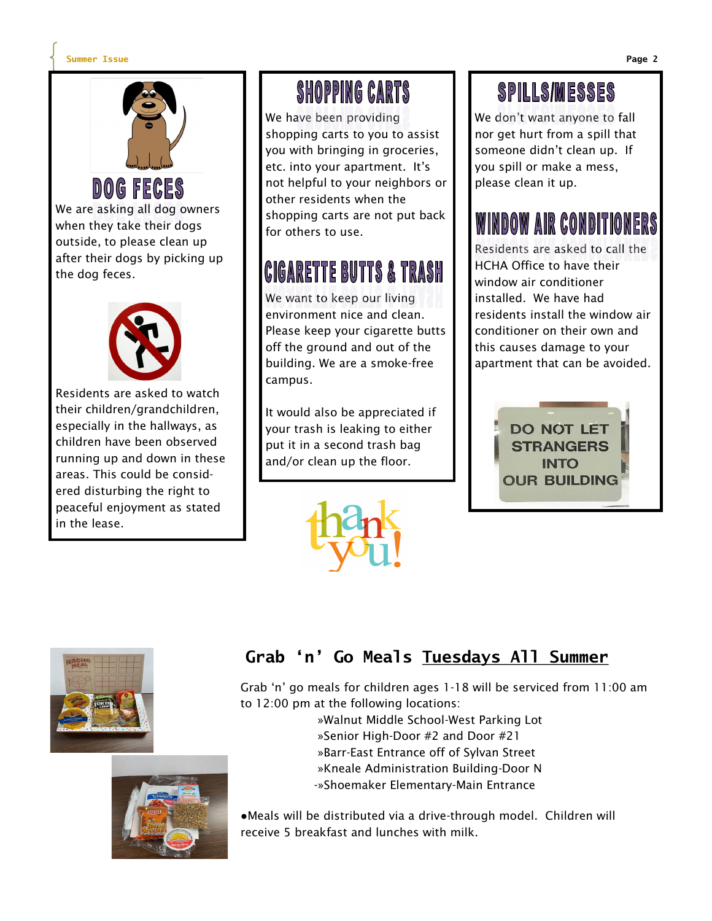#### **Summer Issue Page 2**

the dog feces.



We are asking all dog owners when they take their dogs outside, to please clean up after their dogs by picking up



Residents are asked to watch their children/grandchildren, especially in the hallways, as children have been observed running up and down in these areas. This could be considered disturbing the right to peaceful enjoyment as stated in the lease.

# **SHOPPING CARTS**

We have been providing shopping carts to you to assist you with bringing in groceries, etc. into your apartment. It's not helpful to your neighbors or other residents when the shopping carts are not put back for others to use.

# CIGARETTE BUTTS & TRASH

We want to keep our living environment nice and clean. Please keep your cigarette butts off the ground and out of the building. We are a smoke-free campus.

It would also be appreciated if your trash is leaking to either put it in a second trash bag and/or clean up the floor.

# **SPILLS/MESSES**

We don't want anyone to fall nor get hurt from a spill that someone didn't clean up. If you spill or make a mess, please clean it up.

# WINDOW AIR CONDITIONERS

Residents are asked to call the HCHA Office to have their window air conditioner installed. We have had residents install the window air conditioner on their own and this causes damage to your apartment that can be avoided.







### **Grab 'n' Go Meals Tuesdays All Summer**

Grab 'n' go meals for children ages 1-18 will be serviced from 11:00 am to 12:00 pm at the following locations:

»Walnut Middle School-West Parking Lot

»Senior High-Door #2 and Door #21

»Barr-East Entrance off of Sylvan Street

»Kneale Administration Building-Door N

-»Shoemaker Elementary-Main Entrance

●Meals will be distributed via a drive-through model. Children will receive 5 breakfast and lunches with milk.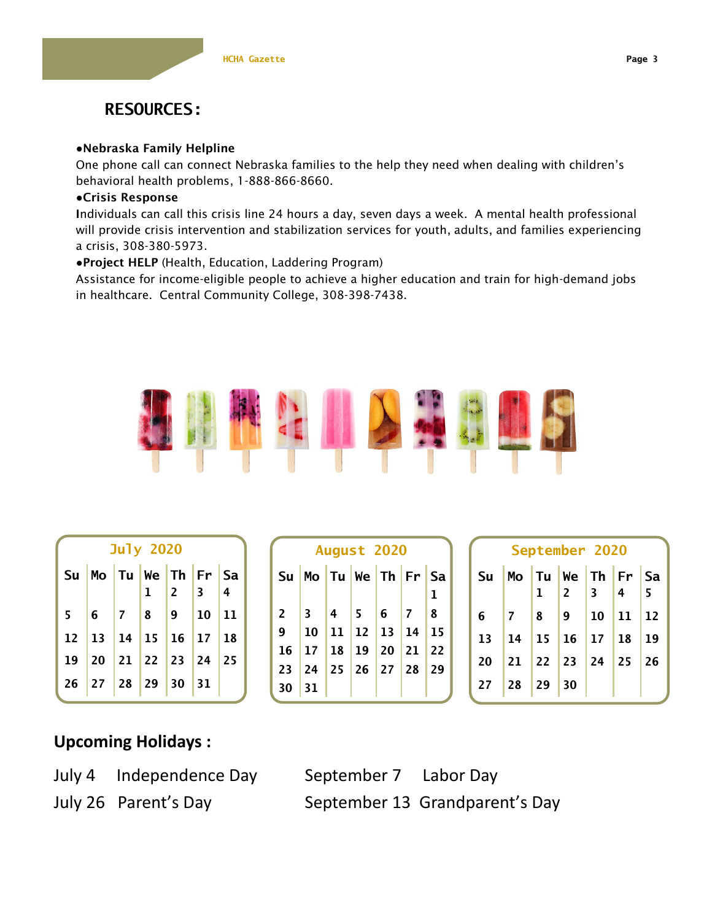

### ●Nebraska Family Helpline

One phone call can connect Nebraska families to the help they need when dealing with children's behavioral health problems, 1-888-866-8660.

#### ●Crisis Response

Individuals can call this crisis line 24 hours a day, seven days a week. A mental health professional will provide crisis intervention and stabilization services for youth, adults, and families experiencing a crisis, 308-380-5973.

●Project HELP (Health, Education, Laddering Program)

Assistance for income-eligible people to achieve a higher education and train for high-demand jobs in healthcare. Central Community College, 308-398-7438.



| <b>July 2020</b> |                                         |  |  |  |  |  |
|------------------|-----------------------------------------|--|--|--|--|--|
|                  | Su $M$ o Tu We Th Fr Sa                 |  |  |  |  |  |
|                  |                                         |  |  |  |  |  |
|                  | $5\, \,6\, \,7\, \,8\, \,9\, \,10\, 11$ |  |  |  |  |  |
|                  | $12$   13   14   15   16   17   18      |  |  |  |  |  |
|                  | 19 20 21 22 23 24 25                    |  |  |  |  |  |
|                  | 26 27 28 29 30 31                       |  |  |  |  |  |

| <b>August 2020</b> |                      |  |                  |  |    |           |
|--------------------|----------------------|--|------------------|--|----|-----------|
|                    | Su Mo Tu We Th Fr Sa |  |                  |  |    |           |
|                    |                      |  |                  |  |    | 1         |
| $\mathbf{2}$       |                      |  |                  |  | 17 | $\vert 8$ |
| 9                  |                      |  | $10$ 11 12 13 14 |  |    | 15        |
|                    | 16 17 18 19 20 21 22 |  |                  |  |    |           |
|                    | 23 24 25 26 27 28 29 |  |                  |  |    |           |
| 30                 | 31                   |  |                  |  |    |           |

| September 2020 |    |                 |                                              |                 |    |     |
|----------------|----|-----------------|----------------------------------------------|-----------------|----|-----|
| <b>Su</b>      |    |                 | Mo Tu We Th Fr Sa                            |                 |    |     |
|                |    | $\mathbf{1}$    | $\vert$ 2                                    | 3               | ∥4 | l 5 |
| 6              |    | 8               | 9                                            | 10 <sup>°</sup> | 11 | 12  |
| 13             | 14 | 15 <sub>1</sub> |                                              | $16$ 17 18      |    | 19  |
| 20             |    |                 | $21 \mid 22 \mid 23 \mid 24 \mid 25 \mid 26$ |                 |    |     |
| 27             |    | $28$ 29         | 30                                           |                 |    |     |

### **Upcoming Holidays :**

July 4 Independence Day September 7 Labor Day

July 26 Parent's Day September 13 Grandparent's Day